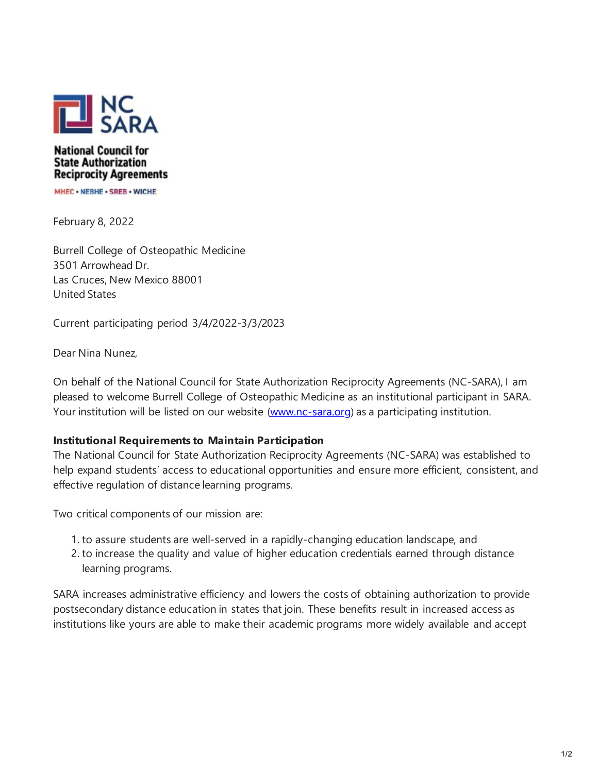

## **National Council for State Authorization Reciprocity Agreements**

MHEC . NEBHE . SREB . WICHE

February 8, 2022

Burrell College of Osteopathic Medicine 3501 Arrowhead Dr. Las Cruces, New Mexico 88001 United States

Current participating period 3/4/2022-3/3/2023

Dear Nina Nunez,

On behalf of the National Council for State Authorization Reciprocity Agreements (NC-SARA), I am pleased to welcome Burrell College of Osteopathic Medicine as an institutional participant in SARA. Your institution will be listed on our website [\(www.nc-sara.org\)](https://nam11.safelinks.protection.outlook.com/?url=http%3A%2F%2Fwww.nc-sara.org%2F&data=04%7C01%7Cnnunez%40burrell.edu%7C2c622c91a95f462120e308d9eb2c210e%7Cbbfc0d30e3c24c87ae5eea766a4ad8c2%7C0%7C0%7C637799397044702613%7CUnknown%7CTWFpbGZsb3d8eyJWIjoiMC4wLjAwMDAiLCJQIjoiV2luMzIiLCJBTiI6Ik1haWwiLCJXVCI6Mn0%3D%7C3000&sdata=lACirW0%2FEVQ7QFEsRgW4r07HGSTxahP9b%2BKChvwQNAY%3D&reserved=0) as a participating institution.

## **Institutional Requirements to Maintain Participation**

The National Council for State Authorization Reciprocity Agreements (NC-SARA) was established to help expand students' access to educational opportunities and ensure more efficient, consistent, and effective regulation of distance learning programs.

Two critical components of our mission are:

- 1. to assure students are well-served in a rapidly-changing education landscape, and
- 2. to increase the quality and value of higher education credentials earned through distance learning programs.

SARA increases administrative efficiency and lowers the costs of obtaining authorization to provide postsecondary distance education in states that join. These benefits result in increased access as institutions like yours are able to make their academic programs more widely available and accept